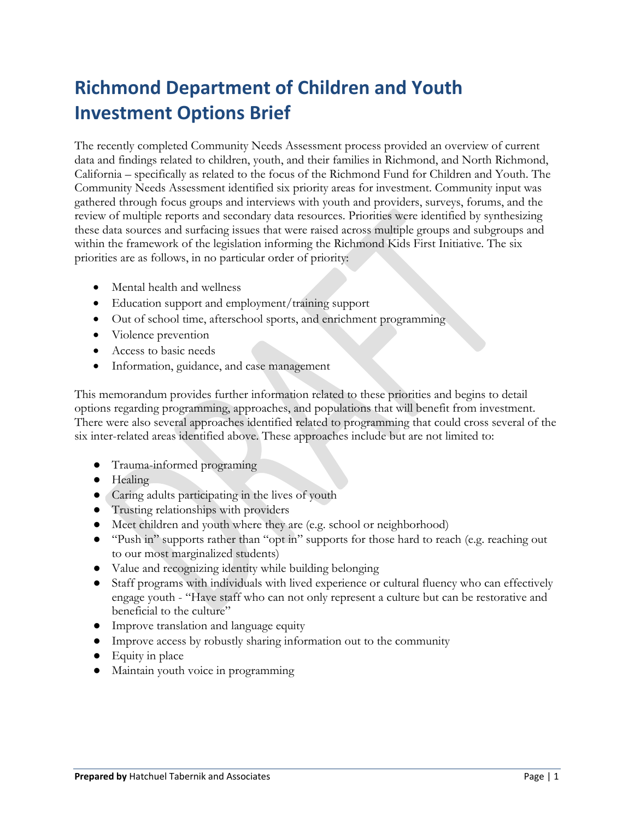# **Richmond Department of Children and Youth Investment Options Brief**

The recently completed Community Needs Assessment process provided an overview of current data and findings related to children, youth, and their families in Richmond, and North Richmond, California – specifically as related to the focus of the Richmond Fund for Children and Youth. The Community Needs Assessment identified six priority areas for investment. Community input was gathered through focus groups and interviews with youth and providers, surveys, forums, and the review of multiple reports and secondary data resources. Priorities were identified by synthesizing these data sources and surfacing issues that were raised across multiple groups and subgroups and within the framework of the legislation informing the Richmond Kids First Initiative. The six priorities are as follows, in no particular order of priority:

- Mental health and wellness
- Education support and employment/training support
- Out of school time, afterschool sports, and enrichment programming
- Violence prevention
- Access to basic needs
- Information, guidance, and case management

This memorandum provides further information related to these priorities and begins to detail options regarding programming, approaches, and populations that will benefit from investment. There were also several approaches identified related to programming that could cross several of the six inter-related areas identified above. These approaches include but are not limited to:

- Trauma-informed programing
- Healing
- Caring adults participating in the lives of youth
- Trusting relationships with providers
- Meet children and youth where they are (e.g. school or neighborhood)
- "Push in" supports rather than "opt in" supports for those hard to reach (e.g. reaching out to our most marginalized students)
- Value and recognizing identity while building belonging
- Staff programs with individuals with lived experience or cultural fluency who can effectively engage youth - "Have staff who can not only represent a culture but can be restorative and beneficial to the culture"
- Improve translation and language equity
- Improve access by robustly sharing information out to the community
- Equity in place
- Maintain youth voice in programming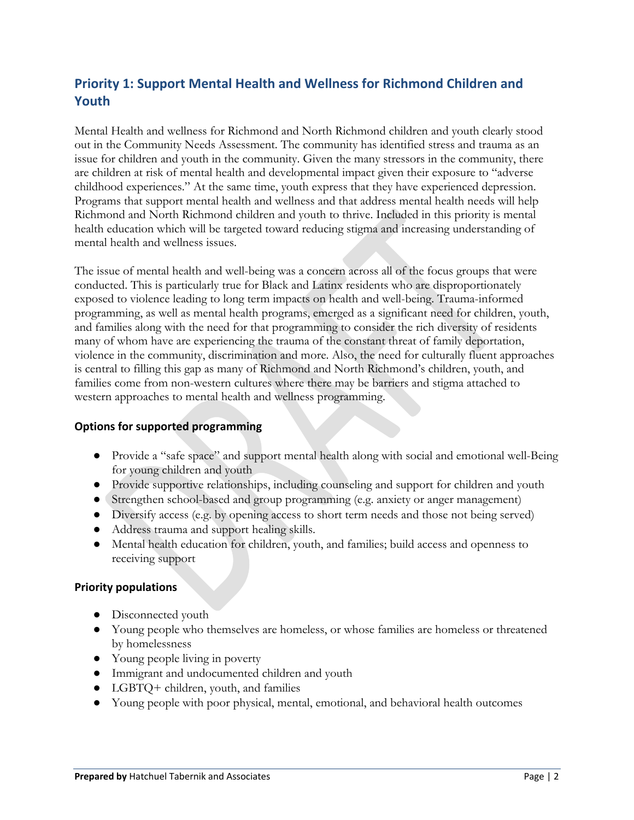# **Priority 1: Support Mental Health and Wellness for Richmond Children and Youth**

Mental Health and wellness for Richmond and North Richmond children and youth clearly stood out in the Community Needs Assessment. The community has identified stress and trauma as an issue for children and youth in the community. Given the many stressors in the community, there are children at risk of mental health and developmental impact given their exposure to "adverse childhood experiences." At the same time, youth express that they have experienced depression. Programs that support mental health and wellness and that address mental health needs will help Richmond and North Richmond children and youth to thrive. Included in this priority is mental health education which will be targeted toward reducing stigma and increasing understanding of mental health and wellness issues.

The issue of mental health and well-being was a concern across all of the focus groups that were conducted. This is particularly true for Black and Latinx residents who are disproportionately exposed to violence leading to long term impacts on health and well-being. Trauma-informed programming, as well as mental health programs, emerged as a significant need for children, youth, and families along with the need for that programming to consider the rich diversity of residents many of whom have are experiencing the trauma of the constant threat of family deportation, violence in the community, discrimination and more. Also, the need for culturally fluent approaches is central to filling this gap as many of Richmond and North Richmond's children, youth, and families come from non-western cultures where there may be barriers and stigma attached to western approaches to mental health and wellness programming.

### **Options for supported programming**

- Provide a "safe space" and support mental health along with social and emotional well-Being for young children and youth
- Provide supportive relationships, including counseling and support for children and youth
- Strengthen school-based and group programming (e.g. anxiety or anger management)
- Diversify access (e.g. by opening access to short term needs and those not being served)
- Address trauma and support healing skills.
- Mental health education for children, youth, and families; build access and openness to receiving support

- Disconnected youth
- Young people who themselves are homeless, or whose families are homeless or threatened by homelessness
- Young people living in poverty
- Immigrant and undocumented children and youth
- LGBTQ+ children, youth, and families
- Young people with poor physical, mental, emotional, and behavioral health outcomes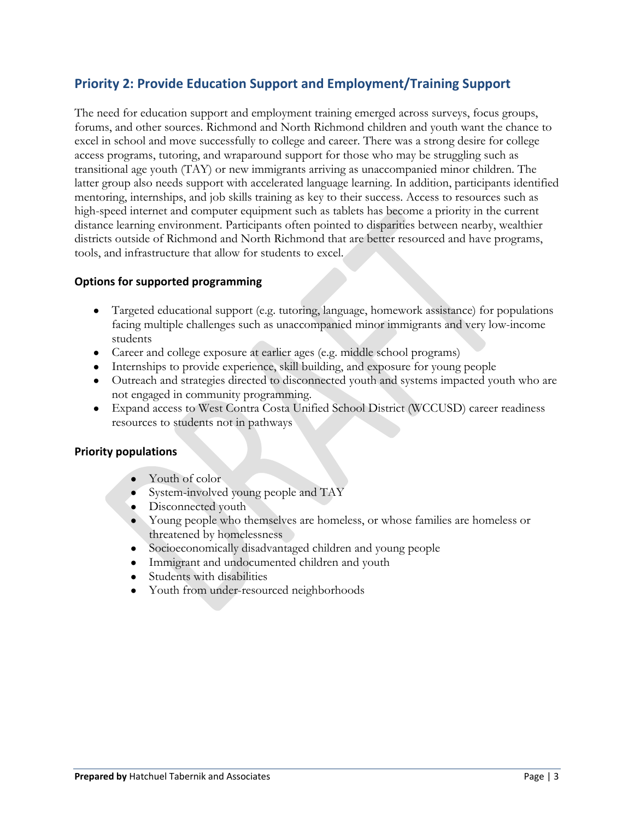### **Priority 2: Provide Education Support and Employment/Training Support**

The need for education support and employment training emerged across surveys, focus groups, forums, and other sources. Richmond and North Richmond children and youth want the chance to excel in school and move successfully to college and career. There was a strong desire for college access programs, tutoring, and wraparound support for those who may be struggling such as transitional age youth (TAY) or new immigrants arriving as unaccompanied minor children. The latter group also needs support with accelerated language learning. In addition, participants identified mentoring, internships, and job skills training as key to their success. Access to resources such as high-speed internet and computer equipment such as tablets has become a priority in the current distance learning environment. Participants often pointed to disparities between nearby, wealthier districts outside of Richmond and North Richmond that are better resourced and have programs, tools, and infrastructure that allow for students to excel.

### **Options for supported programming**

- Targeted educational support (e.g. tutoring, language, homework assistance) for populations facing multiple challenges such as unaccompanied minor immigrants and very low-income students
- Career and college exposure at earlier ages (e.g. middle school programs)
- Internships to provide experience, skill building, and exposure for young people
- Outreach and strategies directed to disconnected youth and systems impacted youth who are not engaged in community programming.
- Expand access to West Contra Costa Unified School District (WCCUSD) career readiness resources to students not in pathways

- Youth of color
- System-involved young people and TAY
- Disconnected youth
- Young people who themselves are homeless, or whose families are homeless or threatened by homelessness
- Socioeconomically disadvantaged children and young people
- Immigrant and undocumented children and youth
- Students with disabilities
- Youth from under-resourced neighborhoods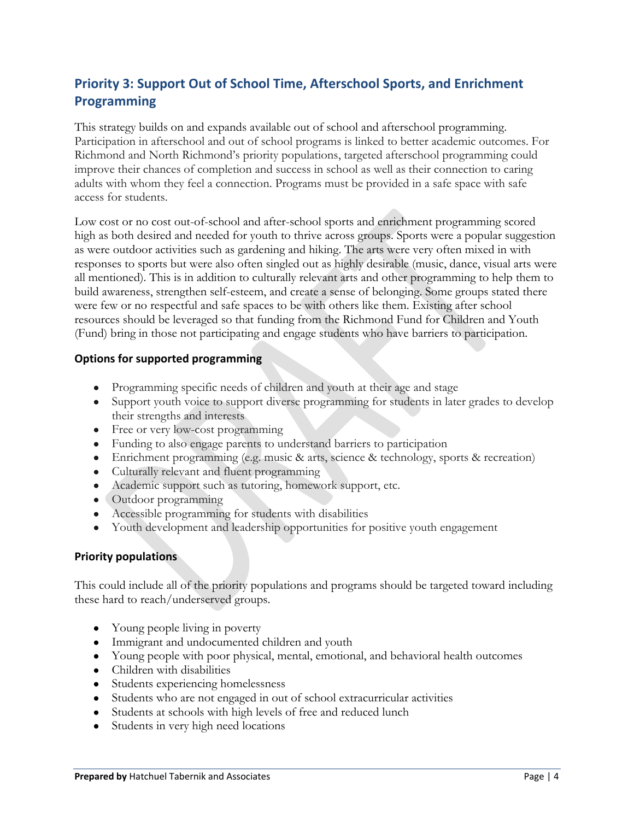# **Priority 3: Support Out of School Time, Afterschool Sports, and Enrichment Programming**

This strategy builds on and expands available out of school and afterschool programming. Participation in afterschool and out of school programs is linked to better academic outcomes. For Richmond and North Richmond's priority populations, targeted afterschool programming could improve their chances of completion and success in school as well as their connection to caring adults with whom they feel a connection. Programs must be provided in a safe space with safe access for students.

Low cost or no cost out-of-school and after-school sports and enrichment programming scored high as both desired and needed for youth to thrive across groups. Sports were a popular suggestion as were outdoor activities such as gardening and hiking. The arts were very often mixed in with responses to sports but were also often singled out as highly desirable (music, dance, visual arts were all mentioned). This is in addition to culturally relevant arts and other programming to help them to build awareness, strengthen self-esteem, and create a sense of belonging. Some groups stated there were few or no respectful and safe spaces to be with others like them. Existing after school resources should be leveraged so that funding from the Richmond Fund for Children and Youth (Fund) bring in those not participating and engage students who have barriers to participation.

### **Options for supported programming**

- Programming specific needs of children and youth at their age and stage
- Support youth voice to support diverse programming for students in later grades to develop their strengths and interests
- Free or very low-cost programming
- Funding to also engage parents to understand barriers to participation
- Enrichment programming (e.g. music & arts, science & technology, sports & recreation)
- Culturally relevant and fluent programming
- Academic support such as tutoring, homework support, etc.
- Outdoor programming
- Accessible programming for students with disabilities
- Youth development and leadership opportunities for positive youth engagement

#### **Priority populations**

This could include all of the priority populations and programs should be targeted toward including these hard to reach/underserved groups.

- Young people living in poverty
- Immigrant and undocumented children and youth
- Young people with poor physical, mental, emotional, and behavioral health outcomes
- Children with disabilities
- Students experiencing homelessness
- Students who are not engaged in out of school extracurricular activities
- Students at schools with high levels of free and reduced lunch
- Students in very high need locations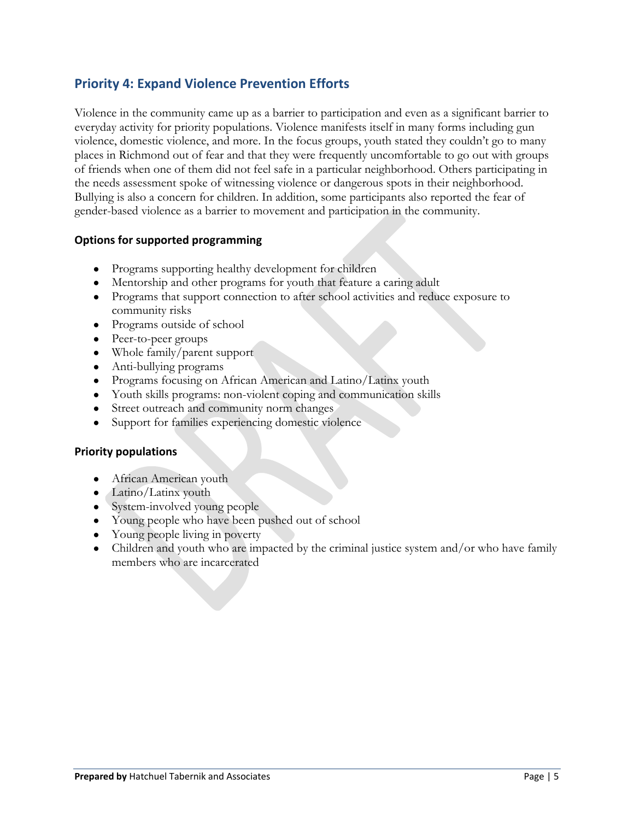### **Priority 4: Expand Violence Prevention Efforts**

Violence in the community came up as a barrier to participation and even as a significant barrier to everyday activity for priority populations. Violence manifests itself in many forms including gun violence, domestic violence, and more. In the focus groups, youth stated they couldn't go to many places in Richmond out of fear and that they were frequently uncomfortable to go out with groups of friends when one of them did not feel safe in a particular neighborhood. Others participating in the needs assessment spoke of witnessing violence or dangerous spots in their neighborhood. Bullying is also a concern for children. In addition, some participants also reported the fear of gender-based violence as a barrier to movement and participation in the community.

### **Options for supported programming**

- Programs supporting healthy development for children
- Mentorship and other programs for youth that feature a caring adult
- Programs that support connection to after school activities and reduce exposure to community risks
- Programs outside of school
- Peer-to-peer groups
- Whole family/parent support
- Anti-bullying programs
- Programs focusing on African American and Latino/Latinx youth
- Youth skills programs: non-violent coping and communication skills
- Street outreach and community norm changes
- Support for families experiencing domestic violence

- African American youth
- Latino/Latinx youth
- System-involved young people
- Young people who have been pushed out of school
- Young people living in poverty
- Children and youth who are impacted by the criminal justice system and/or who have family members who are incarcerated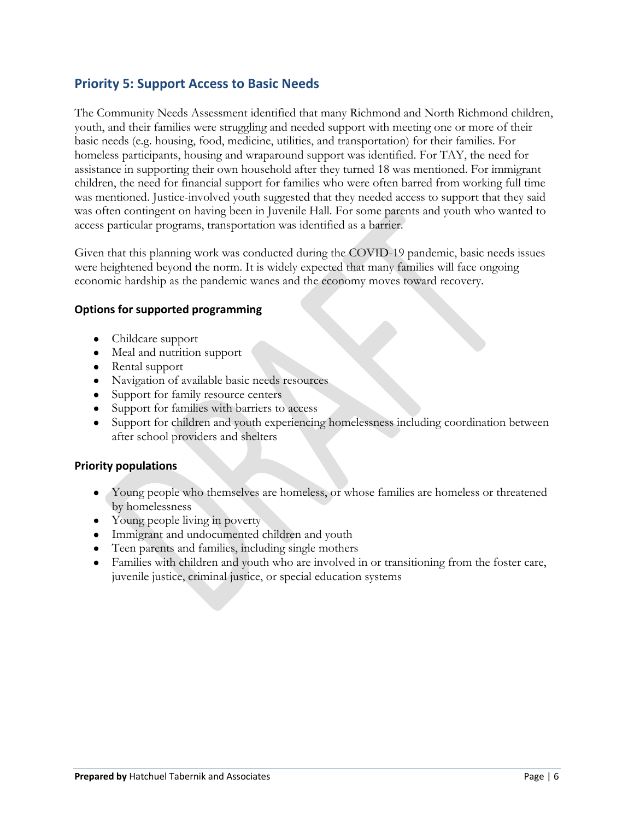### **Priority 5: Support Access to Basic Needs**

The Community Needs Assessment identified that many Richmond and North Richmond children, youth, and their families were struggling and needed support with meeting one or more of their basic needs (e.g. housing, food, medicine, utilities, and transportation) for their families. For homeless participants, housing and wraparound support was identified. For TAY, the need for assistance in supporting their own household after they turned 18 was mentioned. For immigrant children, the need for financial support for families who were often barred from working full time was mentioned. Justice-involved youth suggested that they needed access to support that they said was often contingent on having been in Juvenile Hall. For some parents and youth who wanted to access particular programs, transportation was identified as a barrier.

Given that this planning work was conducted during the COVID-19 pandemic, basic needs issues were heightened beyond the norm. It is widely expected that many families will face ongoing economic hardship as the pandemic wanes and the economy moves toward recovery.

### **Options for supported programming**

- Childcare support
- Meal and nutrition support
- Rental support
- Navigation of available basic needs resources
- Support for family resource centers
- Support for families with barriers to access
- Support for children and youth experiencing homelessness including coordination between after school providers and shelters

- Young people who themselves are homeless, or whose families are homeless or threatened by homelessness
- Young people living in poverty
- Immigrant and undocumented children and youth
- Teen parents and families, including single mothers
- Families with children and youth who are involved in or transitioning from the foster care, juvenile justice, criminal justice, or special education systems